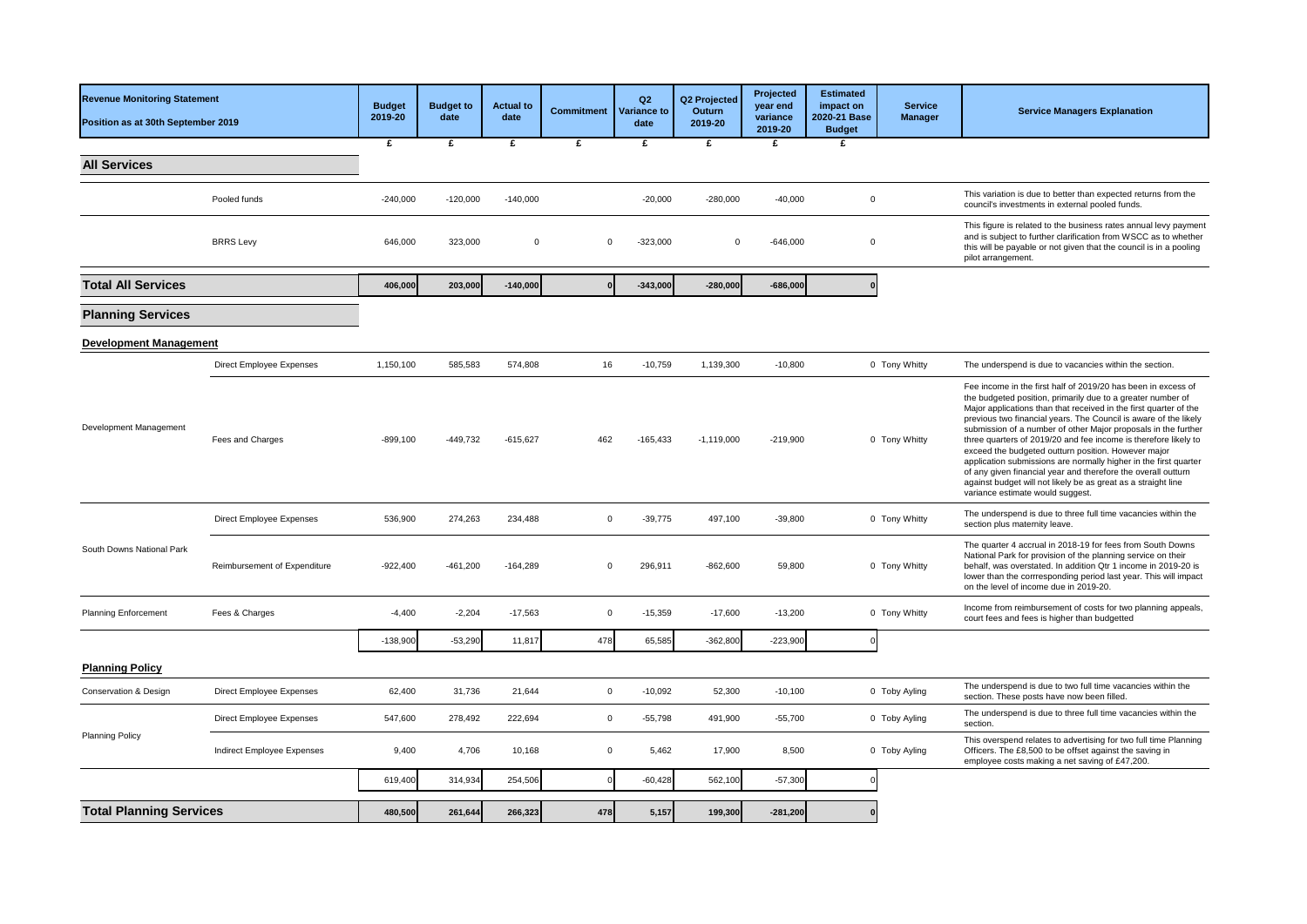| <b>Revenue Monitoring Statement</b><br>Position as at 30th September 2019 |                                 | <b>Budget</b><br>2019-20 | <b>Budget to</b><br>date | <b>Actual to</b><br>date | <b>Commitment</b> | Q2<br><b>Variance to</b><br>date | Q2 Projected<br>Outurn<br>2019-20 | Projected<br>year end<br>variance<br>2019-20 | <b>Estimated</b><br>impact on<br>2020-21 Base<br><b>Budget</b> | <b>Service</b><br><b>Manager</b> | <b>Service Managers Explanation</b>                                                                                                                                                                                                                                                                                                                                                                                                                                                                                                                                                                                                                                                                         |
|---------------------------------------------------------------------------|---------------------------------|--------------------------|--------------------------|--------------------------|-------------------|----------------------------------|-----------------------------------|----------------------------------------------|----------------------------------------------------------------|----------------------------------|-------------------------------------------------------------------------------------------------------------------------------------------------------------------------------------------------------------------------------------------------------------------------------------------------------------------------------------------------------------------------------------------------------------------------------------------------------------------------------------------------------------------------------------------------------------------------------------------------------------------------------------------------------------------------------------------------------------|
|                                                                           |                                 | £                        | £                        | £                        | £                 | £                                | £                                 | £                                            | £                                                              |                                  |                                                                                                                                                                                                                                                                                                                                                                                                                                                                                                                                                                                                                                                                                                             |
| <b>All Services</b>                                                       |                                 |                          |                          |                          |                   |                                  |                                   |                                              |                                                                |                                  |                                                                                                                                                                                                                                                                                                                                                                                                                                                                                                                                                                                                                                                                                                             |
|                                                                           | Pooled funds                    | $-240,000$               | $-120,000$               | $-140,000$               |                   | $-20,000$                        | $-280,000$                        | $-40,000$                                    | $\Omega$                                                       |                                  | This variation is due to better than expected returns from the<br>council's investments in external pooled funds.                                                                                                                                                                                                                                                                                                                                                                                                                                                                                                                                                                                           |
|                                                                           | <b>BRRS</b> Levy                | 646,000                  | 323,000                  | $\mathbf 0$              | $\Omega$          | $-323,000$                       | $\Omega$                          | $-646,000$                                   | $\Omega$                                                       |                                  | This figure is related to the business rates annual levy payment<br>and is subject to further clarification from WSCC as to whether<br>this will be payable or not given that the council is in a pooling<br>pilot arrangement.                                                                                                                                                                                                                                                                                                                                                                                                                                                                             |
| <b>Total All Services</b>                                                 |                                 | 406,000                  | 203,000                  | $-140,000$               |                   | $-343,000$                       | $-280,000$                        | $-686,000$                                   | $\Omega$                                                       |                                  |                                                                                                                                                                                                                                                                                                                                                                                                                                                                                                                                                                                                                                                                                                             |
| <b>Planning Services</b>                                                  |                                 |                          |                          |                          |                   |                                  |                                   |                                              |                                                                |                                  |                                                                                                                                                                                                                                                                                                                                                                                                                                                                                                                                                                                                                                                                                                             |
| <b>Development Management</b>                                             |                                 |                          |                          |                          |                   |                                  |                                   |                                              |                                                                |                                  |                                                                                                                                                                                                                                                                                                                                                                                                                                                                                                                                                                                                                                                                                                             |
|                                                                           | Direct Employee Expenses        | 1,150,100                | 585,583                  | 574,808                  | 16                | $-10,759$                        | 1,139,300                         | $-10,800$                                    |                                                                | 0 Tony Whitty                    | The underspend is due to vacancies within the section.                                                                                                                                                                                                                                                                                                                                                                                                                                                                                                                                                                                                                                                      |
| Development Management                                                    | Fees and Charges                | $-899,100$               | $-449,732$               | $-615,627$               | 462               | $-165,433$                       | $-1,119,000$                      | $-219,900$                                   |                                                                | 0 Tony Whitty                    | Fee income in the first half of 2019/20 has been in excess of<br>the budgeted position, primarily due to a greater number of<br>Major applications than that received in the first quarter of the<br>previous two financial years. The Council is aware of the likely<br>submission of a number of other Major proposals in the further<br>three quarters of 2019/20 and fee income is therefore likely to<br>exceed the budgeted outturn position. However major<br>application submissions are normally higher in the first quarter<br>of any given financial year and therefore the overall outturn<br>against budget will not likely be as great as a straight line<br>variance estimate would suggest. |
|                                                                           | Direct Employee Expenses        | 536,900                  | 274,263                  | 234,488                  | $\Omega$          | $-39,775$                        | 497,100                           | $-39,800$                                    |                                                                | 0 Tony Whitty                    | The underspend is due to three full time vacancies within the<br>section plus maternity leave.                                                                                                                                                                                                                                                                                                                                                                                                                                                                                                                                                                                                              |
| South Downs National Park                                                 | Reimbursement of Expenditure    | $-922,400$               | $-461,200$               | $-164,289$               | $\Omega$          | 296,911                          | $-862,600$                        | 59,800                                       |                                                                | 0 Tony Whitty                    | The quarter 4 accrual in 2018-19 for fees from South Downs<br>National Park for provision of the planning service on their<br>behalf, was overstated. In addition Qtr 1 income in 2019-20 is<br>lower than the corrresponding period last year. This will impact<br>on the level of income due in 2019-20.                                                                                                                                                                                                                                                                                                                                                                                                  |
| <b>Planning Enforcement</b>                                               | Fees & Charges                  | $-4,400$                 | $-2,204$                 | $-17,563$                | $\mathbf 0$       | $-15,359$                        | $-17,600$                         | $-13,200$                                    |                                                                | 0 Tony Whitty                    | Income from reimbursement of costs for two planning appeals,<br>court fees and fees is higher than budgetted                                                                                                                                                                                                                                                                                                                                                                                                                                                                                                                                                                                                |
|                                                                           |                                 | $-138,900$               | $-53,290$                | 11,817                   | 478               | 65,585                           | $-362,800$                        | $-223,900$                                   |                                                                |                                  |                                                                                                                                                                                                                                                                                                                                                                                                                                                                                                                                                                                                                                                                                                             |
| <b>Planning Policy</b>                                                    |                                 |                          |                          |                          |                   |                                  |                                   |                                              |                                                                |                                  |                                                                                                                                                                                                                                                                                                                                                                                                                                                                                                                                                                                                                                                                                                             |
| Conservation & Design                                                     | <b>Direct Employee Expenses</b> | 62,400                   | 31,736                   | 21,644                   | $\mathbf 0$       | $-10,092$                        | 52,300                            | $-10,100$                                    |                                                                | 0 Toby Ayling                    | The underspend is due to two full time vacancies within the<br>section. These posts have now been filled.                                                                                                                                                                                                                                                                                                                                                                                                                                                                                                                                                                                                   |
|                                                                           | Direct Employee Expenses        | 547,600                  | 278,492                  | 222,694                  | $\mathbf 0$       | $-55,798$                        | 491,900                           | $-55,700$                                    |                                                                | 0 Toby Ayling                    | The underspend is due to three full time vacancies within the<br>section.                                                                                                                                                                                                                                                                                                                                                                                                                                                                                                                                                                                                                                   |
| <b>Planning Policy</b>                                                    | Indirect Employee Expenses      | 9,400                    | 4,706                    | 10,168                   | $\mathbf 0$       | 5,462                            | 17,900                            | 8,500                                        |                                                                | 0 Toby Ayling                    | This overspend relates to advertising for two full time Planning<br>Officers. The £8,500 to be offset against the saving in<br>employee costs making a net saving of £47,200.                                                                                                                                                                                                                                                                                                                                                                                                                                                                                                                               |
|                                                                           |                                 | 619,400                  | 314,934                  | 254,506                  | $\epsilon$        | $-60,428$                        | 562,100                           | $-57,300$                                    |                                                                |                                  |                                                                                                                                                                                                                                                                                                                                                                                                                                                                                                                                                                                                                                                                                                             |
| <b>Total Planning Services</b>                                            |                                 | 480,500                  | 261,644                  | 266,323                  | 478               | 5,157                            | 199,300                           | $-281,200$                                   |                                                                |                                  |                                                                                                                                                                                                                                                                                                                                                                                                                                                                                                                                                                                                                                                                                                             |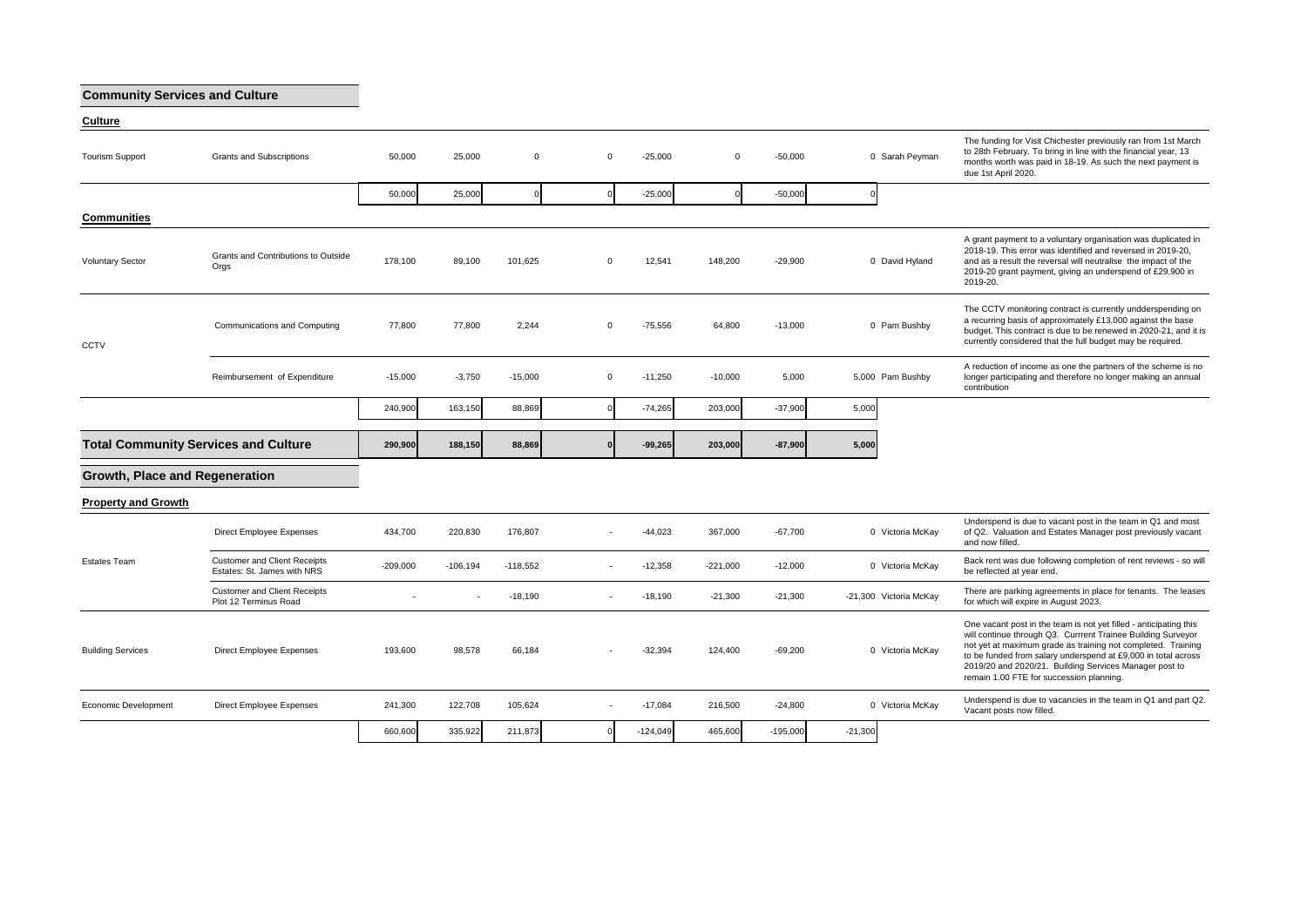## **Community Services and Culture**

| Culture |  |  |
|---------|--|--|

| <b>Tourism Support</b>                | Grants and Subscriptions                                           | 50,000     | 25,000     | $\Omega$   | $\mathbf{0}$ | $-25,000$  | $\Omega$   | $-50.000$  | 0 Sarah Peyman         | The funding for Visit Chichester previously ran from 1st March<br>to 28th February. To bring in line with the financial year, 13<br>months worth was paid in 18-19. As such the next payment is<br>due 1st April 2020.                                                                                                                                                   |
|---------------------------------------|--------------------------------------------------------------------|------------|------------|------------|--------------|------------|------------|------------|------------------------|--------------------------------------------------------------------------------------------------------------------------------------------------------------------------------------------------------------------------------------------------------------------------------------------------------------------------------------------------------------------------|
|                                       |                                                                    | 50,000     | 25,000     | $\Omega$   |              | $-25,000$  |            | $-50,000$  |                        |                                                                                                                                                                                                                                                                                                                                                                          |
| <b>Communities</b>                    |                                                                    |            |            |            |              |            |            |            |                        |                                                                                                                                                                                                                                                                                                                                                                          |
| <b>Voluntary Sector</b>               | Grants and Contributions to Outside<br>Orgs                        | 178,100    | 89,100     | 101,625    | $\Omega$     | 12,541     | 148,200    | $-29,900$  | 0 David Hyland         | A grant payment to a voluntary organisation was duplicated in<br>2018-19. This error was identified and reversed in 2019-20,<br>and as a result the reversal will neutralise the impact of the<br>2019-20 grant payment, giving an underspend of £29,900 in<br>2019-20.                                                                                                  |
| CCTV                                  | Communications and Computing                                       | 77,800     | 77,800     | 2,244      | $\Omega$     | $-75,556$  | 64,800     | $-13,000$  | 0 Pam Bushby           | The CCTV monitoring contract is currently undderspending on<br>a recurring basis of approximately £13,000 against the base<br>budget. This contract is due to be renewed in 2020-21, and it is<br>currently considered that the full budget may be required.                                                                                                             |
|                                       | Reimbursement of Expenditure                                       | $-15,000$  | $-3,750$   | $-15,000$  | $\mathbf 0$  | $-11,250$  | $-10,000$  | 5,000      | 5,000 Pam Bushby       | A reduction of income as one the partners of the scheme is no<br>longer participating and therefore no longer making an annual<br>contribution                                                                                                                                                                                                                           |
|                                       |                                                                    | 240,900    | 163,150    | 88,869     |              | $-74,265$  | 203,000    | $-37,900$  | 5,000                  |                                                                                                                                                                                                                                                                                                                                                                          |
|                                       | <b>Total Community Services and Culture</b>                        | 290,900    | 188.150    | 88,869     |              | $-99,265$  | 203.000    | $-87.900$  | 5,000                  |                                                                                                                                                                                                                                                                                                                                                                          |
| <b>Growth, Place and Regeneration</b> |                                                                    |            |            |            |              |            |            |            |                        |                                                                                                                                                                                                                                                                                                                                                                          |
| <b>Property and Growth</b>            |                                                                    |            |            |            |              |            |            |            |                        |                                                                                                                                                                                                                                                                                                                                                                          |
|                                       | Direct Employee Expenses                                           | 434,700    | 220,830    | 176,807    |              | $-44,023$  | 367,000    | $-67,700$  | 0 Victoria McKay       | Underspend is due to vacant post in the team in Q1 and most<br>of Q2. Valuation and Estates Manager post previously vacant<br>and now filled.                                                                                                                                                                                                                            |
| <b>Estates Team</b>                   | <b>Customer and Client Receipts</b><br>Estates: St. James with NRS | $-209,000$ | $-106.194$ | $-118,552$ |              | $-12.358$  | $-221,000$ | $-12,000$  | 0 Victoria McKay       | Back rent was due following completion of rent reviews - so will<br>be reflected at year end.                                                                                                                                                                                                                                                                            |
|                                       | <b>Customer and Client Receipts</b><br>Plot 12 Terminus Road       |            |            | $-18,190$  |              | $-18,190$  | $-21,300$  | $-21,300$  | -21,300 Victoria McKay | There are parking agreements in place for tenants. The leases<br>for which will expire in August 2023.                                                                                                                                                                                                                                                                   |
| <b>Building Services</b>              | <b>Direct Employee Expenses</b>                                    | 193,600    | 98.578     | 66,184     |              | $-32,394$  | 124,400    | $-69.200$  | 0 Victoria McKay       | One vacant post in the team is not yet filled - anticipating this<br>will continue through Q3. Currrent Trainee Building Surveyor<br>not yet at maximum grade as training not completed. Training<br>to be funded from salary underspend at £9,000 in total across<br>2019/20 and 2020/21. Building Services Manager post to<br>remain 1.00 FTE for succession planning. |
| <b>Economic Development</b>           | <b>Direct Employee Expenses</b>                                    | 241,300    | 122,708    | 105,624    |              | $-17,084$  | 216,500    | $-24,800$  | 0 Victoria McKay       | Underspend is due to vacancies in the team in Q1 and part Q2.<br>Vacant posts now filled.                                                                                                                                                                                                                                                                                |
|                                       |                                                                    | 660,600    | 335,922    | 211,873    |              | $-124,049$ | 465,600    | $-195,000$ | $-21,300$              |                                                                                                                                                                                                                                                                                                                                                                          |
|                                       |                                                                    |            |            |            |              |            |            |            |                        |                                                                                                                                                                                                                                                                                                                                                                          |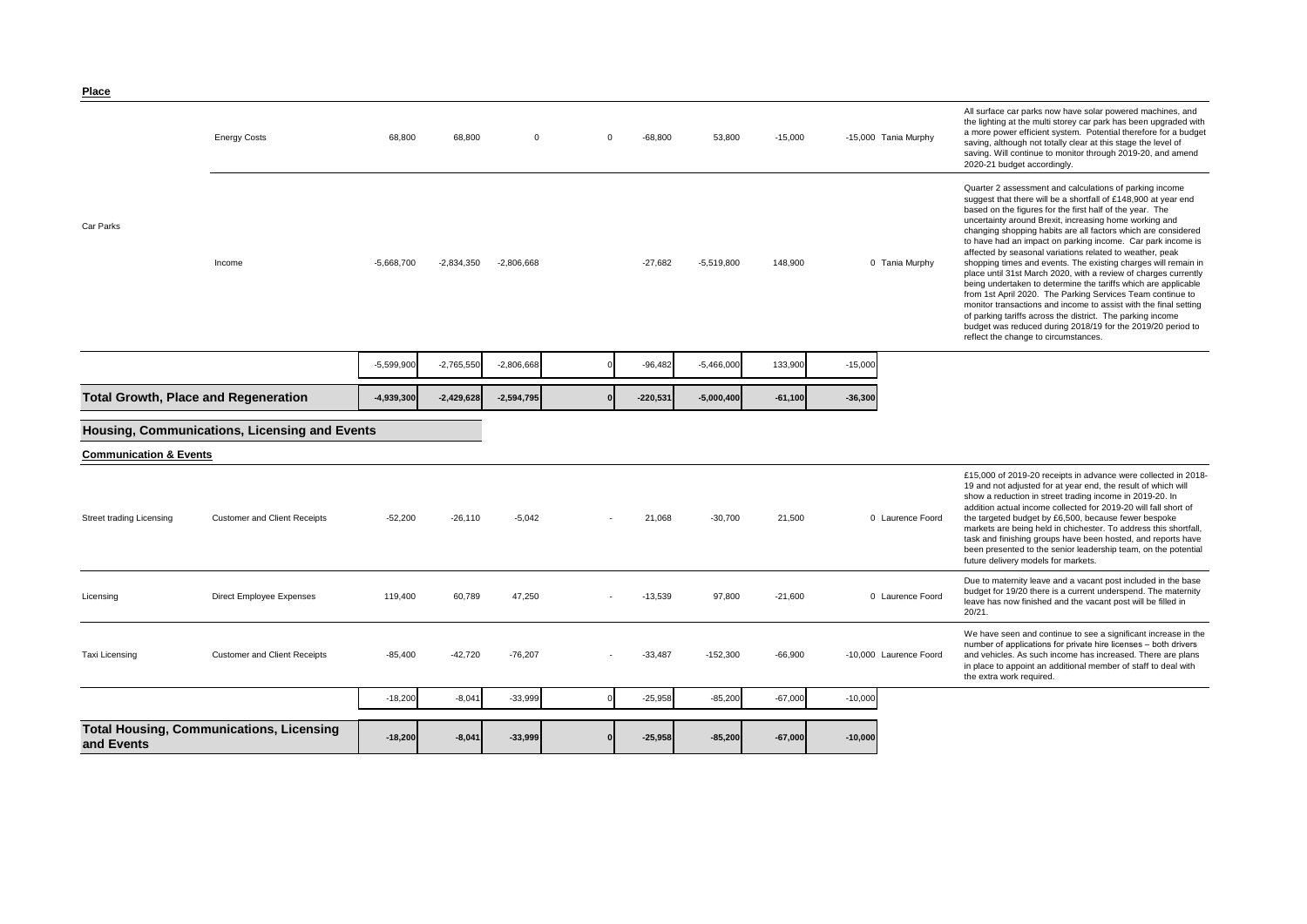| <u>Place</u>                      |                                                 |              |              |              |          |            |              |           |           |                        |                                                                                                                                                                                                                                                                                                                                                                                                                                                                                                                                                                                                                                                                                                                                                                                                                                                                                                                                                           |
|-----------------------------------|-------------------------------------------------|--------------|--------------|--------------|----------|------------|--------------|-----------|-----------|------------------------|-----------------------------------------------------------------------------------------------------------------------------------------------------------------------------------------------------------------------------------------------------------------------------------------------------------------------------------------------------------------------------------------------------------------------------------------------------------------------------------------------------------------------------------------------------------------------------------------------------------------------------------------------------------------------------------------------------------------------------------------------------------------------------------------------------------------------------------------------------------------------------------------------------------------------------------------------------------|
|                                   | <b>Energy Costs</b>                             | 68,800       | 68,800       | $\mathbf 0$  | $\Omega$ | $-68,800$  | 53,800       | $-15,000$ |           | -15,000 Tania Murphy   | All surface car parks now have solar powered machines, and<br>the lighting at the multi storey car park has been upgraded with<br>a more power efficient system. Potential therefore for a budget<br>saving, although not totally clear at this stage the level of<br>saving. Will continue to monitor through 2019-20, and amend<br>2020-21 budget accordingly.                                                                                                                                                                                                                                                                                                                                                                                                                                                                                                                                                                                          |
| Car Parks                         | Income                                          | $-5,668,700$ | $-2,834,350$ | $-2,806,668$ |          | $-27.682$  | $-5,519,800$ | 148.900   |           | 0 Tania Murphy         | Quarter 2 assessment and calculations of parking income<br>suggest that there will be a shortfall of £148,900 at year end<br>based on the figures for the first half of the year. The<br>uncertainty around Brexit, increasing home working and<br>changing shopping habits are all factors which are considered<br>to have had an impact on parking income. Car park income is<br>affected by seasonal variations related to weather, peak<br>shopping times and events. The existing charges will remain in<br>place until 31st March 2020, with a review of charges currently<br>being undertaken to determine the tariffs which are applicable<br>from 1st April 2020. The Parking Services Team continue to<br>monitor transactions and income to assist with the final setting<br>of parking tariffs across the district. The parking income<br>budget was reduced during 2018/19 for the 2019/20 period to<br>reflect the change to circumstances. |
|                                   |                                                 | $-5,599,900$ | $-2,765,550$ | $-2,806,668$ |          | $-96,482$  | $-5,466,000$ | 133,900   | $-15,000$ |                        |                                                                                                                                                                                                                                                                                                                                                                                                                                                                                                                                                                                                                                                                                                                                                                                                                                                                                                                                                           |
|                                   | <b>Total Growth, Place and Regeneration</b>     | $-4,939,300$ | $-2,429,628$ | $-2,594,795$ |          | $-220.531$ | $-5.000.400$ | $-61.100$ | $-36,300$ |                        |                                                                                                                                                                                                                                                                                                                                                                                                                                                                                                                                                                                                                                                                                                                                                                                                                                                                                                                                                           |
|                                   | Housing, Communications, Licensing and Events   |              |              |              |          |            |              |           |           |                        |                                                                                                                                                                                                                                                                                                                                                                                                                                                                                                                                                                                                                                                                                                                                                                                                                                                                                                                                                           |
| <b>Communication &amp; Events</b> |                                                 |              |              |              |          |            |              |           |           |                        |                                                                                                                                                                                                                                                                                                                                                                                                                                                                                                                                                                                                                                                                                                                                                                                                                                                                                                                                                           |
| Street trading Licensing          | <b>Customer and Client Receipts</b>             | $-52,200$    | $-26.110$    | $-5.042$     |          | 21,068     | $-30.700$    | 21,500    |           | 0 Laurence Foord       | £15,000 of 2019-20 receipts in advance were collected in 2018-<br>19 and not adjusted for at year end, the result of which will<br>show a reduction in street trading income in 2019-20. In<br>addition actual income collected for 2019-20 will fall short of<br>the targeted budget by £6,500, because fewer bespoke<br>markets are being held in chichester. To address this shortfall,<br>task and finishing groups have been hosted, and reports have<br>been presented to the senior leadership team, on the potential<br>future delivery models for markets.                                                                                                                                                                                                                                                                                                                                                                                       |
| Licensing                         | Direct Employee Expenses                        | 119,400      | 60,789       | 47,250       |          | $-13,539$  | 97,800       | $-21,600$ |           | 0 Laurence Foord       | Due to maternity leave and a vacant post included in the base<br>budget for 19/20 there is a current underspend. The maternity<br>leave has now finished and the vacant post will be filled in<br>20/21.                                                                                                                                                                                                                                                                                                                                                                                                                                                                                                                                                                                                                                                                                                                                                  |
| Taxi Licensing                    | <b>Customer and Client Receipts</b>             | $-85,400$    | $-42,720$    | $-76,207$    |          | $-33,487$  | $-152,300$   | $-66,900$ |           | -10,000 Laurence Foord | We have seen and continue to see a significant increase in the<br>number of applications for private hire licenses - both drivers<br>and vehicles. As such income has increased. There are plans<br>in place to appoint an additional member of staff to deal with<br>the extra work required.                                                                                                                                                                                                                                                                                                                                                                                                                                                                                                                                                                                                                                                            |
|                                   |                                                 | $-18,200$    | $-8,041$     | $-33,999$    |          | $-25,958$  | $-85,200$    | $-67,000$ | $-10,000$ |                        |                                                                                                                                                                                                                                                                                                                                                                                                                                                                                                                                                                                                                                                                                                                                                                                                                                                                                                                                                           |
| and Events                        | <b>Total Housing, Communications, Licensing</b> | $-18,200$    | $-8,041$     | $-33,999$    |          | $-25,958$  | $-85,200$    | $-67.000$ | $-10,000$ |                        |                                                                                                                                                                                                                                                                                                                                                                                                                                                                                                                                                                                                                                                                                                                                                                                                                                                                                                                                                           |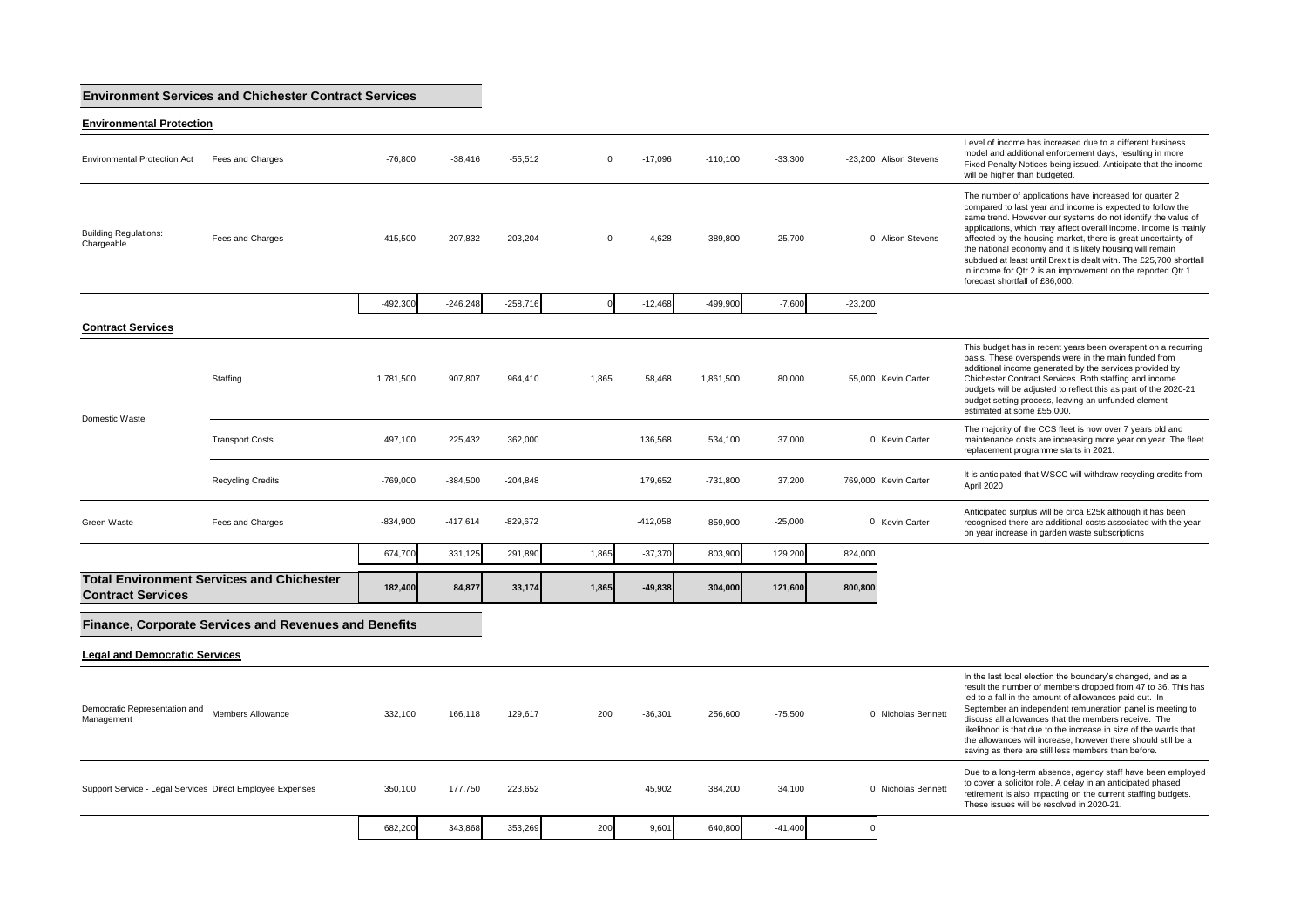## **Environment Services and Chichester Contract Services**

**Environmental Protection**

| <b>Environmental Protection Act</b>                       | Fees and Charges                                      | $-76,800$  | $-38,416$  | $-55,512$  | $\Omega$ | $-17,096$  | $-110,100$ | $-33,300$ |           | -23,200 Alison Stevens | Level of income has increased due to a different business<br>model and additional enforcement days, resulting in more<br>Fixed Penalty Notices being issued. Anticipate that the income<br>will be higher than budgeted.                                                                                                                                                                                                                                                                                                                                      |
|-----------------------------------------------------------|-------------------------------------------------------|------------|------------|------------|----------|------------|------------|-----------|-----------|------------------------|---------------------------------------------------------------------------------------------------------------------------------------------------------------------------------------------------------------------------------------------------------------------------------------------------------------------------------------------------------------------------------------------------------------------------------------------------------------------------------------------------------------------------------------------------------------|
| <b>Building Regulations:</b><br>Chargeable                | Fees and Charges                                      | $-415,500$ | $-207,832$ | $-203,204$ | $\Omega$ | 4,628      | $-389,800$ | 25,700    |           | 0 Alison Stevens       | The number of applications have increased for quarter 2<br>compared to last year and income is expected to follow the<br>same trend. However our systems do not identify the value of<br>applications, which may affect overall income. Income is mainly<br>affected by the housing market, there is great uncertainty of<br>the national economy and it is likely housing will remain<br>subdued at least until Brexit is dealt with. The £25,700 shortfall<br>in income for Qtr 2 is an improvement on the reported Qtr 1<br>forecast shortfall of £86,000. |
|                                                           |                                                       | -492.300   | $-246.248$ | $-258,716$ |          | $-12.468$  | $-499.900$ | $-7.600$  | $-23,200$ |                        |                                                                                                                                                                                                                                                                                                                                                                                                                                                                                                                                                               |
| <b>Contract Services</b>                                  |                                                       |            |            |            |          |            |            |           |           |                        |                                                                                                                                                                                                                                                                                                                                                                                                                                                                                                                                                               |
| Domestic Waste                                            | Staffing                                              | 1,781,500  | 907.807    | 964.410    | 1.865    | 58,468     | 1,861,500  | 80,000    |           | 55.000 Kevin Carter    | This budget has in recent years been overspent on a recurring<br>basis. These overspends were in the main funded from<br>additional income generated by the services provided by<br>Chichester Contract Services. Both staffing and income<br>budgets will be adjusted to reflect this as part of the 2020-21<br>budget setting process, leaving an unfunded element<br>estimated at some £55,000.                                                                                                                                                            |
|                                                           | <b>Transport Costs</b>                                | 497,100    | 225,432    | 362,000    |          | 136,568    | 534,100    | 37,000    |           | 0 Kevin Carter         | The majority of the CCS fleet is now over 7 years old and<br>maintenance costs are increasing more year on year. The fleet<br>replacement programme starts in 2021.                                                                                                                                                                                                                                                                                                                                                                                           |
|                                                           | <b>Recycling Credits</b>                              | $-769,000$ | $-384.500$ | $-204.848$ |          | 179.652    | $-731.800$ | 37.200    |           | 769,000 Kevin Carter   | It is anticipated that WSCC will withdraw recycling credits from<br>April 2020                                                                                                                                                                                                                                                                                                                                                                                                                                                                                |
| Green Waste                                               | Fees and Charges                                      | $-834,900$ | $-417,614$ | $-829,672$ |          | $-412,058$ | $-859,900$ | $-25,000$ |           | 0 Kevin Carter         | Anticipated surplus will be circa £25k although it has been<br>recognised there are additional costs associated with the year<br>on year increase in garden waste subscriptions                                                                                                                                                                                                                                                                                                                                                                               |
|                                                           |                                                       | 674,700    | 331,125    | 291,890    | 1,865    | $-37,370$  | 803,900    | 129,200   | 824,000   |                        |                                                                                                                                                                                                                                                                                                                                                                                                                                                                                                                                                               |
| <b>Contract Services</b>                                  | <b>Total Environment Services and Chichester</b>      | 182,400    | 84,877     | 33,174     | 1,865    | $-49,838$  | 304,000    | 121,600   | 800,800   |                        |                                                                                                                                                                                                                                                                                                                                                                                                                                                                                                                                                               |
|                                                           | Finance, Corporate Services and Revenues and Benefits |            |            |            |          |            |            |           |           |                        |                                                                                                                                                                                                                                                                                                                                                                                                                                                                                                                                                               |
| <b>Legal and Democratic Services</b>                      |                                                       |            |            |            |          |            |            |           |           |                        |                                                                                                                                                                                                                                                                                                                                                                                                                                                                                                                                                               |
| Democratic Representation and<br>Management               | Members Allowance                                     | 332,100    | 166,118    | 129,617    | 200      | $-36,301$  | 256,600    | $-75,500$ |           | 0 Nicholas Bennett     | In the last local election the boundary's changed, and as a<br>result the number of members dropped from 47 to 36. This has<br>led to a fall in the amount of allowances paid out. In<br>September an independent remuneration panel is meeting to<br>discuss all allowances that the members receive. The<br>likelihood is that due to the increase in size of the wards that<br>the allowances will increase, however there should still be a<br>saving as there are still less members than before.                                                        |
| Support Service - Legal Services Direct Employee Expenses |                                                       | 350,100    | 177,750    | 223,652    |          | 45,902     | 384,200    | 34,100    |           | 0 Nicholas Bennett     | Due to a long-term absence, agency staff have been employed<br>to cover a solicitor role. A delay in an anticipated phased<br>retirement is also impacting on the current staffing budgets.<br>These issues will be resolved in 2020-21.                                                                                                                                                                                                                                                                                                                      |
|                                                           |                                                       | 682,200    | 343,868    | 353,269    | 200      | 9,601      | 640,800    | $-41,400$ | $\Omega$  |                        |                                                                                                                                                                                                                                                                                                                                                                                                                                                                                                                                                               |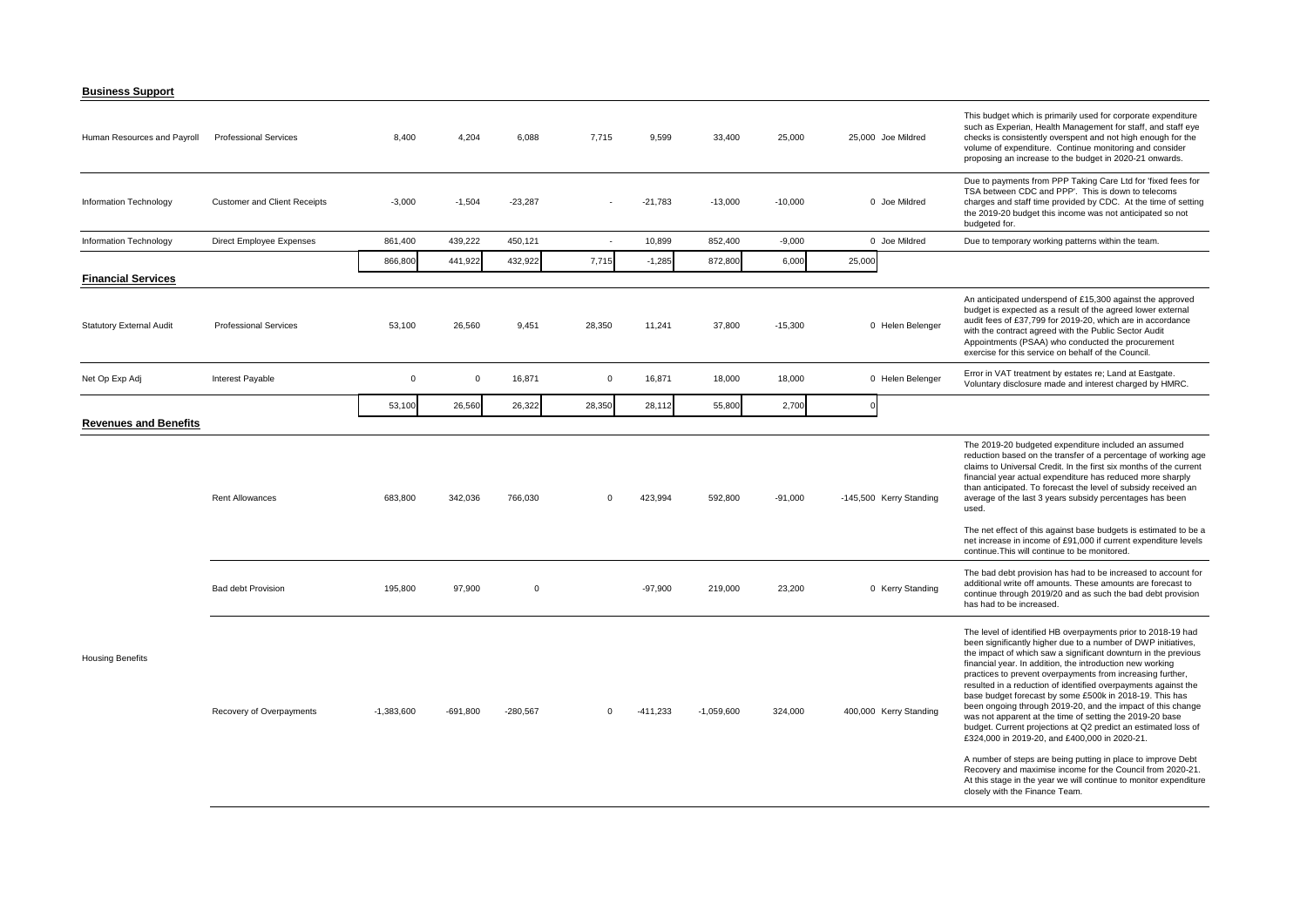**Business Support**

| Human Resources and Payroll     | <b>Professional Services</b>        | 8,400        | 4,204       | 6,088      | 7,715                    | 9,599      | 33,400       | 25,000    | 25,000 Joe Mildred      | This budget which is primarily used for corporate expenditure<br>such as Experian, Health Management for staff, and staff eye<br>checks is consistently overspent and not high enough for the<br>volume of expenditure. Continue monitoring and consider<br>proposing an increase to the budget in 2020-21 onwards.                                                                                                                                                                                                                                                                                                                                                                                                                                                                                                                                                                                                                        |
|---------------------------------|-------------------------------------|--------------|-------------|------------|--------------------------|------------|--------------|-----------|-------------------------|--------------------------------------------------------------------------------------------------------------------------------------------------------------------------------------------------------------------------------------------------------------------------------------------------------------------------------------------------------------------------------------------------------------------------------------------------------------------------------------------------------------------------------------------------------------------------------------------------------------------------------------------------------------------------------------------------------------------------------------------------------------------------------------------------------------------------------------------------------------------------------------------------------------------------------------------|
| Information Technology          | <b>Customer and Client Receipts</b> | $-3,000$     | $-1,504$    | $-23,287$  |                          | $-21,783$  | $-13,000$    | $-10,000$ | 0 Joe Mildred           | Due to payments from PPP Taking Care Ltd for 'fixed fees for<br>TSA between CDC and PPP'. This is down to telecoms<br>charges and staff time provided by CDC. At the time of setting<br>the 2019-20 budget this income was not anticipated so not<br>budgeted for.                                                                                                                                                                                                                                                                                                                                                                                                                                                                                                                                                                                                                                                                         |
| Information Technology          | Direct Employee Expenses            | 861,400      | 439,222     | 450,121    | $\overline{\phantom{a}}$ | 10,899     | 852,400      | $-9,000$  | 0 Joe Mildred           | Due to temporary working patterns within the team.                                                                                                                                                                                                                                                                                                                                                                                                                                                                                                                                                                                                                                                                                                                                                                                                                                                                                         |
|                                 |                                     | 866,800      | 441,922     | 432,922    | 7,715                    | $-1,285$   | 872,800      | 6,000     | 25,000                  |                                                                                                                                                                                                                                                                                                                                                                                                                                                                                                                                                                                                                                                                                                                                                                                                                                                                                                                                            |
| <b>Financial Services</b>       |                                     |              |             |            |                          |            |              |           |                         |                                                                                                                                                                                                                                                                                                                                                                                                                                                                                                                                                                                                                                                                                                                                                                                                                                                                                                                                            |
| <b>Statutory External Audit</b> | <b>Professional Services</b>        | 53,100       | 26,560      | 9,451      | 28,350                   | 11,241     | 37,800       | $-15,300$ | 0 Helen Belenger        | An anticipated underspend of £15,300 against the approved<br>budget is expected as a result of the agreed lower external<br>audit fees of £37,799 for 2019-20, which are in accordance<br>with the contract agreed with the Public Sector Audit<br>Appointments (PSAA) who conducted the procurement<br>exercise for this service on behalf of the Council.                                                                                                                                                                                                                                                                                                                                                                                                                                                                                                                                                                                |
| Net Op Exp Adj                  | Interest Payable                    | $\mathbf 0$  | $\mathbf 0$ | 16,871     | $\mathbf 0$              | 16,871     | 18,000       | 18,000    | 0 Helen Belenger        | Error in VAT treatment by estates re; Land at Eastgate.<br>Voluntary disclosure made and interest charged by HMRC.                                                                                                                                                                                                                                                                                                                                                                                                                                                                                                                                                                                                                                                                                                                                                                                                                         |
|                                 |                                     | 53,100       | 26,560      | 26,322     | 28,350                   | 28,112     | 55,800       | 2,700     |                         |                                                                                                                                                                                                                                                                                                                                                                                                                                                                                                                                                                                                                                                                                                                                                                                                                                                                                                                                            |
| <b>Revenues and Benefits</b>    |                                     |              |             |            |                          |            |              |           |                         |                                                                                                                                                                                                                                                                                                                                                                                                                                                                                                                                                                                                                                                                                                                                                                                                                                                                                                                                            |
|                                 | <b>Rent Allowances</b>              | 683,800      | 342,036     | 766,030    | 0                        | 423,994    | 592,800      | $-91,000$ | -145,500 Kerry Standing | The 2019-20 budgeted expenditure included an assumed<br>reduction based on the transfer of a percentage of working age<br>claims to Universal Credit. In the first six months of the current<br>financial year actual expenditure has reduced more sharply<br>than anticipated. To forecast the level of subsidy received an<br>average of the last 3 years subsidy percentages has been<br>used.                                                                                                                                                                                                                                                                                                                                                                                                                                                                                                                                          |
|                                 |                                     |              |             |            |                          |            |              |           |                         | The net effect of this against base budgets is estimated to be a<br>net increase in income of £91,000 if current expenditure levels<br>continue. This will continue to be monitored.                                                                                                                                                                                                                                                                                                                                                                                                                                                                                                                                                                                                                                                                                                                                                       |
|                                 | <b>Bad debt Provision</b>           | 195,800      | 97,900      | $\Omega$   |                          | $-97,900$  | 219,000      | 23,200    | 0 Kerry Standing        | The bad debt provision has had to be increased to account for<br>additional write off amounts. These amounts are forecast to<br>continue through 2019/20 and as such the bad debt provision<br>has had to be increased.                                                                                                                                                                                                                                                                                                                                                                                                                                                                                                                                                                                                                                                                                                                    |
| <b>Housing Benefits</b>         | Recovery of Overpayments            | $-1,383,600$ | $-691,800$  | $-280,567$ | $\Omega$                 | $-411,233$ | $-1,059,600$ | 324,000   | 400,000 Kerry Standing  | The level of identified HB overpayments prior to 2018-19 had<br>been significantly higher due to a number of DWP initiatives,<br>the impact of which saw a significant downturn in the previous<br>financial year. In addition, the introduction new working<br>practices to prevent overpayments from increasing further,<br>resulted in a reduction of identified overpayments against the<br>base budget forecast by some £500k in 2018-19. This has<br>been ongoing through 2019-20, and the impact of this change<br>was not apparent at the time of setting the 2019-20 base<br>budget. Current projections at Q2 predict an estimated loss of<br>£324,000 in 2019-20, and £400,000 in 2020-21.<br>A number of steps are being putting in place to improve Debt<br>Recovery and maximise income for the Council from 2020-21.<br>At this stage in the year we will continue to monitor expenditure<br>closely with the Finance Team. |